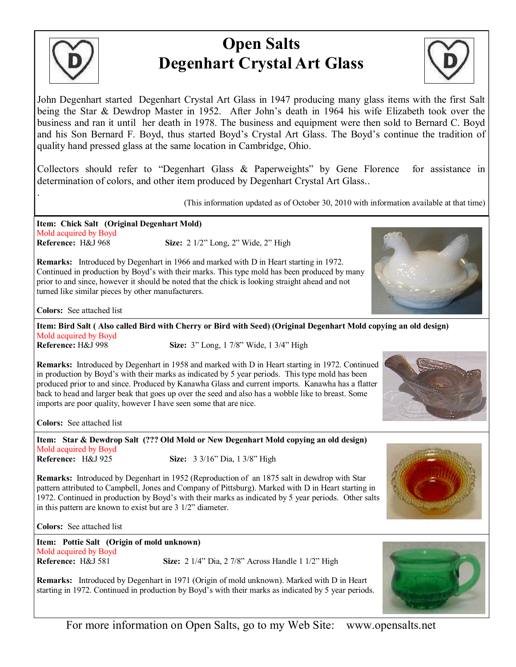

.

## **Open Salts Degenhart Crystal Art Glass**



John Degenhart started Degenhart Crystal Art Glass in 1947 producing many glass items with the first Salt being the Star & Dewdrop Master in 1952. After John's death in 1964 his wife Elizabeth took over the business and ran it until her death in 1978. The business and equipment were then sold to Bernard C. Boyd and his Son Bernard F. Boyd, thus started Boyd's Crystal Art Glass. The Boyd's continue the tradition of quality hand pressed glass at the same location in Cambridge, Ohio.

Collectors should refer to "Degenhart Glass & Paperweights" by Gene Florence for assistance in determination of colors, and other item produced by Degenhart Crystal Art Glass..

(This information updated as of October 30, 2010 with information available at that time)

**Item: Chick Salt (Original Degenhart Mold)**  Mold acquired by Boyd **Reference:** H&J 968 **Size:** 2 1/2" Long, 2" Wide, 2" High

**Remarks:** Introduced by Degenhart in 1966 and marked with D in Heart starting in 1972. Continued in production by Boyd's with their marks. This type mold has been produced by many prior to and since, however it should be noted that the chick is looking straight ahead and not turned like similar pieces by other manufacturers.



**Colors:** See attached list

**Item: Bird Salt ( Also called Bird with Cherry or Bird with Seed) (Original Degenhart Mold copying an old design)**  Mold acquired by Boyd **Reference: H&J 998 Size:**  $3''$  Long, 1 7/8" Wide, 1 3/4" High

**Remarks:** Introduced by Degenhart in 1958 and marked with D in Heart starting in 1972. Continued in production by Boyd's with their marks as indicated by 5 year periods. This type mold has been produced prior to and since. Produced by Kanawha Glass and current imports. Kanawha has a flatter back to head and larger beak that goes up over the seed and also has a wobble like to breast. Some imports are poor quality, however I have seen some that are nice.

**Colors:** See attached list

**Item: Star & Dewdrop Salt (??? Old Mold or New Degenhart Mold copying an old design)**  Mold acquired by Boyd<br>Reference: H&J 925 **Size:** 3 3/16" Dia, 1 3/8" High

**Remarks:** Introduced by Degenhart in 1952 (Reproduction of an 1875 salt in dewdrop with Star pattern attributed to Campbell, Jones and Company of Pittsburg). Marked with D in Heart starting in 1972. Continued in production by Boyd's with their marks as indicated by 5 year periods. Other salts in this pattern are known to exist but are 3 1/2" diameter.

**Colors:** See attached list

**Item: Pottie Salt (Origin of mold unknown)** Mold acquired by Boyd

**Reference: H&J** 581 **Size:** 2 1/4" Dia, 2 7/8" Across Handle 1 1/2" High

**Remarks:** Introduced by Degenhart in 1971 (Origin of mold unknown). Marked with D in Heart starting in 1972. Continued in production by Boyd's with their marks as indicated by 5 year periods.



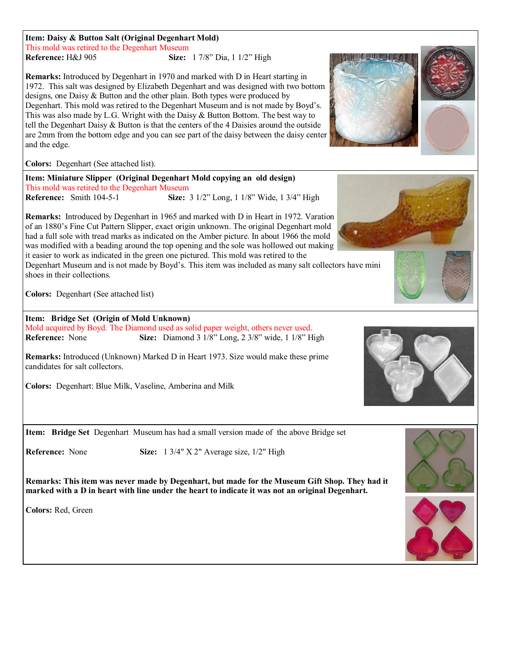**Item: Daisy & Button Salt (Original Degenhart Mold)**  This mold was retired to the Degenhart Museum **Reference:** H&J 905 **Size:** 1 7/8" Dia, 1 1/2" High

**Remarks:** Introduced by Degenhart in 1970 and marked with D in Heart starting in 1972. This salt was designed by Elizabeth Degenhart and was designed with two bottom designs, one Daisy & Button and the other plain. Both types were produced by Degenhart. This mold was retired to the Degenhart Museum and is not made by Boyd's. This was also made by L.G. Wright with the Daisy  $\&$  Button Bottom. The best way to tell the Degenhart Daisy  $&$  Button is that the centers of the 4 Daisies around the outside are 2mm from the bottom edge and you can see part of the daisy between the daisy center and the edge.

**Colors:** Degenhart (See attached list).

**Item: Miniature Slipper (Original Degenhart Mold copying an old design)** This mold was retired to the Degenhart Museum **Reference:** Smith 104-5-1 **Size:** 3 1/2" Long, 1 1/8" Wide, 1 3/4" High

**Remarks:** Introduced by Degenhart in 1965 and marked with D in Heart in 1972. Varation of an 1880's Fine Cut Pattern Slipper, exact origin unknown. The original Degenhart mold had a full sole with tread marks as indicated on the Amber picture. In about 1966 the mold was modified with a beading around the top opening and the sole was hollowed out making it easier to work as indicated in the green one pictured. This mold was retired to the

Degenhart Museum and is not made by Boyd's. This item was included as many salt collectors have mini shoes in their collections.

**Colors:** Degenhart (See attached list)

**Item: Bridge Set (Origin of Mold Unknown)** Mold acquired by Boyd. The Diamond used as solid paper weight, others never used. **Reference:** None **Size:** Diamond 3 1/8" Long, 2 3/8" wide, 1 1/8" High

**Remarks:** Introduced (Unknown) Marked D in Heart 1973. Size would make these prime candidates for salt collectors.

**Colors:** Degenhart: Blue Milk, Vaseline, Amberina and Milk

**Item: Bridge Set** Degenhart Museum has had a small version made of the above Bridge set

**Reference:** None **Size:** 1 3/4" X 2" Average size, 1/2" High

**Remarks: This item was never made by Degenhart, but made for the Museum Gift Shop. They had it marked with a D in heart with line under the heart to indicate it was not an original Degenhart.**

**Colors:** Red, Green